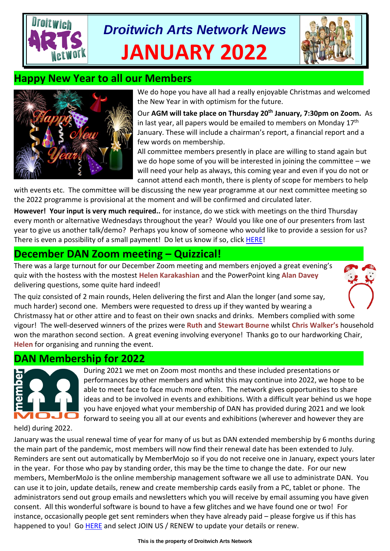# *Droitwich Arts Network News* **JANUARY 2022**



## **Happy New Year to all our Members**



We do hope you have all had a really enjoyable Christmas and welcomed the New Year in with optimism for the future.

Our **AGM will take place on Thursday 20 th January, 7:30pm on Zoom.** As in last year, all papers would be emailed to members on Monday  $17<sup>th</sup>$ January. These will include a chairman's report, a financial report and a few words on membership.

All committee members presently in place are willing to stand again but we do hope some of you will be interested in joining the committee – we will need your help as always, this coming year and even if you do not or cannot attend each month, there is plenty of scope for members to help

with events etc. The committee will be discussing the new year programme at our next committee meeting so the 2022 programme is provisional at the moment and will be confirmed and circulated later.

**However! Your input is very much required..** for instance, do we stick with meetings on the third Thursday every month or alternative Wednesdays throughout the year? Would you like one of our presenters from last year to give us another talk/demo? Perhaps you know of someone who would like to provide a session for us? There is even a possibility of a small payment! Do let us know if so, click [HERE!](mailto:tina.watkins.ntlworld@gmail.com)

# **December DAN Zoom meeting – Quizzical!**

There was a large turnout for our December Zoom meeting and members enjoyed a great evening's quiz with the hostess with the mostest **Helen Karakashian** and the PowerPoint king **Alan Davey** delivering questions, some quite hard indeed!

The quiz consisted of 2 main rounds, Helen delivering the first and Alan the longer (and some say, much harder) second one. Members were requested to dress up if they wanted by wearing a Christmassy hat or other attire and to feast on their own snacks and drinks. Members complied with some vigour! The well-deserved winners of the prizes were **Ruth** and **Stewart Bourne** whilst **Chris Walker's** household won the marathon second section. A great evening involving everyone! Thanks go to our hardworking Chair, **Helen** for organising and running the event.

# **DAN Membership for 2022**



During 2021 we met on Zoom most months and these included presentations or performances by other members and whilst this may continue into 2022, we hope to be able to meet face to face much more often. The network gives opportunities to share ideas and to be involved in events and exhibitions. With a difficult year behind us we hope you have enjoyed what your membership of DAN has provided during 2021 and we look forward to seeing you all at our events and exhibitions (wherever and however they are

held) during 2022.

January was the usual renewal time of year for many of us but as DAN extended membership by 6 months during the main part of the pandemic, most members will now find their renewal date has been extended to July. Reminders are sent out automatically by MemberMojo so if you do not receive one in January, expect yours later in the year. For those who pay by standing order, this may be the time to change the date. For our new members, MemberMoJo is the online membership management software we all use to administrate DAN. You can use it to join, update details, renew and create membership cards easily from a PC, tablet or phone. The administrators send out group emails and newsletters which you will receive by email assuming you have given consent. All this wonderful software is bound to have a few glitches and we have found one or two! For instance, occasionally people get sent reminders when they have already paid – please forgive us if this has happened to you! Go **HERE** and select JOIN US / RENEW to update your details or renew.